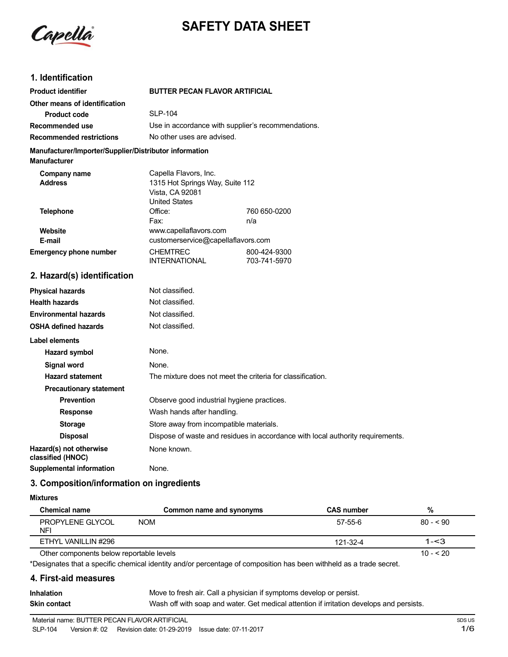

# **SAFETY DATA SHEET**

### **1. Identification**

| <b>Product identifier</b>                                                     | <b>BUTTER PECAN FLAVOR ARTIFICIAL</b>                                      |              |  |
|-------------------------------------------------------------------------------|----------------------------------------------------------------------------|--------------|--|
| Other means of identification                                                 |                                                                            |              |  |
| <b>Product code</b>                                                           | <b>SLP-104</b>                                                             |              |  |
| Recommended use                                                               | Use in accordance with supplier's recommendations.                         |              |  |
| <b>Recommended restrictions</b>                                               | No other uses are advised.                                                 |              |  |
| Manufacturer/Importer/Supplier/Distributor information<br><b>Manufacturer</b> |                                                                            |              |  |
| Company name                                                                  | Capella Flavors, Inc.                                                      |              |  |
| <b>Address</b>                                                                | 1315 Hot Springs Way, Suite 112<br>Vista, CA 92081<br><b>United States</b> |              |  |
| <b>Telephone</b>                                                              | Office:                                                                    | 760 650-0200 |  |
|                                                                               | Fax:                                                                       | n/a          |  |
| Website                                                                       | www.capellaflavors.com                                                     |              |  |
| E-mail                                                                        | customerservice@capellaflavors.com                                         |              |  |
| <b>Emergency phone number</b>                                                 | <b>CHEMTREC</b>                                                            | 800-424-9300 |  |
|                                                                               | <b>INTERNATIONAL</b>                                                       | 703-741-5970 |  |
| 2. Hazard(s) identification                                                   |                                                                            |              |  |
| Police and a set the second set                                               | المحتاشة وحاجبها والملح                                                    |              |  |

#### **Physical hazards Health hazards Environmental hazards OSHA defined hazards Label elements Hazard symbol** Not classified. Not classified. Not classified. Not classified. None. **Signal word** None. **Hazard statement** The mixture does not meet the criteria for classification. **Precautionary statement Prevention CODE OBSERVE GOOD Industrial hygiene practices. Response** Wash hands after handling. **Storage** Store away from incompatible materials. **Disposal** Dispose of waste and residues in accordance with local authority requirements. **Hazard(s) not otherwise** None known. **classified (HNOC) Supplemental information** None.

### **3. Composition/information on ingredients**

#### **Mixtures**

| <b>Chemical name</b>                     | Common name and synonyms | <b>CAS number</b> | %          |
|------------------------------------------|--------------------------|-------------------|------------|
| PROPYLENE GLYCOL<br><b>NFI</b>           | <b>NOM</b>               | $57 - 55 - 6$     | $80 - 590$ |
| ETHYL VANILLIN #296                      |                          | 121-32-4          | $1 - 3$    |
| Other components below reportable levels |                          |                   | $10 - 20$  |

Other components below reportable levels

\*Designates that a specific chemical identity and/or percentage of composition has been withheld as a trade secret.

#### **4. First-aid measures**

| <b>Inhalation</b> | Move to fresh air. Call a physician if symptoms develop or persist.                      |
|-------------------|------------------------------------------------------------------------------------------|
| Skin contact      | Wash off with soap and water. Get medical attention if irritation develops and persists. |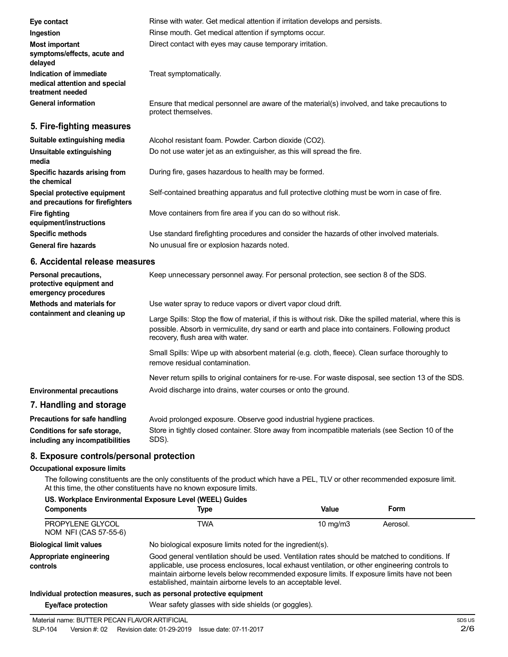| Eye contact                                                                  | Rinse with water. Get medical attention if irritation develops and persists.                                        |
|------------------------------------------------------------------------------|---------------------------------------------------------------------------------------------------------------------|
| Ingestion                                                                    | Rinse mouth. Get medical attention if symptoms occur.                                                               |
| Most important<br>symptoms/effects, acute and<br>delayed                     | Direct contact with eyes may cause temporary irritation.                                                            |
| Indication of immediate<br>medical attention and special<br>treatment needed | Treat symptomatically.                                                                                              |
| <b>General information</b>                                                   | Ensure that medical personnel are aware of the material(s) involved, and take precautions to<br>protect themselves. |
| 5. Fire-fighting measures                                                    |                                                                                                                     |
| Suitable extinguishing media                                                 | Alcohol resistant foam. Powder. Carbon dioxide (CO2).                                                               |
| Unsuitable extinguishing<br>media                                            | Do not use water jet as an extinguisher, as this will spread the fire.                                              |
| Specific hazards arising from<br>the chemical                                | During fire, gases hazardous to health may be formed.                                                               |
| Special protective equipment<br>and precautions for firefighters             | Self-contained breathing apparatus and full protective clothing must be worn in case of fire.                       |
| <b>Fire fighting</b><br>equipment/instructions                               | Move containers from fire area if you can do so without risk.                                                       |
| <b>Specific methods</b>                                                      | Use standard firefighting procedures and consider the hazards of other involved materials.                          |
| <b>General fire hazards</b>                                                  | No unusual fire or explosion hazards noted.                                                                         |

### **6. Accidental release measures**

| Personal precautions,<br>protective equipment and<br>emergency procedures | Keep unnecessary personnel away. For personal protection, see section 8 of the SDS.                                                                                                                                                               |
|---------------------------------------------------------------------------|---------------------------------------------------------------------------------------------------------------------------------------------------------------------------------------------------------------------------------------------------|
| Methods and materials for<br>containment and cleaning up                  | Use water spray to reduce vapors or divert vapor cloud drift.                                                                                                                                                                                     |
|                                                                           | Large Spills: Stop the flow of material, if this is without risk. Dike the spilled material, where this is<br>possible. Absorb in vermiculite, dry sand or earth and place into containers. Following product<br>recovery, flush area with water. |
|                                                                           | Small Spills: Wipe up with absorbent material (e.g. cloth, fleece). Clean surface thoroughly to<br>remove residual contamination.                                                                                                                 |
|                                                                           | Never return spills to original containers for re-use. For waste disposal, see section 13 of the SDS.                                                                                                                                             |
| <b>Environmental precautions</b>                                          | Avoid discharge into drains, water courses or onto the ground.                                                                                                                                                                                    |
| 7. Handling and storage                                                   |                                                                                                                                                                                                                                                   |
| Precautions for safe handling                                             | Avoid prolonged exposure. Observe good industrial hygiene practices.                                                                                                                                                                              |
| Conditions for safe storage,                                              | Store in tightly closed container. Store away from incompatible materials (see Section 10 of the                                                                                                                                                  |

**including any incompatibilities** SDS).

### **8. Exposure controls/personal protection**

### **Occupational exposure limits**

The following constituents are the only constituents of the product which have a PEL, TLV or other recommended exposure limit. At this time, the other constituents have no known exposure limits.

| US. Workplace Environmental Exposure Level (WEEL) Guides |                                                                                                                                                                                                                                                                                                                                                                    |                   |          |
|----------------------------------------------------------|--------------------------------------------------------------------------------------------------------------------------------------------------------------------------------------------------------------------------------------------------------------------------------------------------------------------------------------------------------------------|-------------------|----------|
| <b>Components</b>                                        | Type                                                                                                                                                                                                                                                                                                                                                               | Value             | Form     |
| PROPYLENE GLYCOL<br>NOM NFI (CAS 57-55-6)                | TWA                                                                                                                                                                                                                                                                                                                                                                | $10 \text{ mg/m}$ | Aerosol. |
| <b>Biological limit values</b>                           | No biological exposure limits noted for the ingredient(s).                                                                                                                                                                                                                                                                                                         |                   |          |
| Appropriate engineering<br>controls                      | Good general ventilation should be used. Ventilation rates should be matched to conditions. If<br>applicable, use process enclosures, local exhaust ventilation, or other engineering controls to<br>maintain airborne levels below recommended exposure limits. If exposure limits have not been<br>established, maintain airborne levels to an acceptable level. |                   |          |
|                                                          | Individual protection measures, such as personal protective equipment                                                                                                                                                                                                                                                                                              |                   |          |

#### **Individual protection measures, such as personal protective equipment**

**Eye/face protection** Wear safety glasses with side shields (or goggles).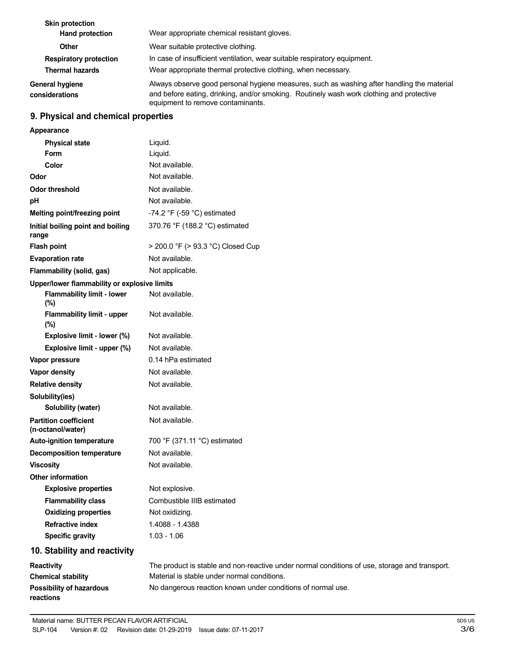| <b>Skin protection</b><br>Hand protection               | Wear appropriate chemical resistant gloves.                                                                                                                                                                                 |
|---------------------------------------------------------|-----------------------------------------------------------------------------------------------------------------------------------------------------------------------------------------------------------------------------|
| <b>Other</b>                                            | Wear suitable protective clothing.                                                                                                                                                                                          |
| <b>Respiratory protection</b><br><b>Thermal hazards</b> | In case of insufficient ventilation, wear suitable respiratory equipment.<br>Wear appropriate thermal protective clothing, when necessary.                                                                                  |
| <b>General hygiene</b><br>considerations                | Always observe good personal hygiene measures, such as washing after handling the material<br>and before eating, drinking, and/or smoking. Routinely wash work clothing and protective<br>equipment to remove contaminants. |

# **9. Physical and chemical properties**

| Appearance                                        |                                                                                               |
|---------------------------------------------------|-----------------------------------------------------------------------------------------------|
| <b>Physical state</b>                             | Liquid.                                                                                       |
| <b>Form</b>                                       | Liquid.                                                                                       |
| Color                                             | Not available.                                                                                |
| Odor                                              | Not available.                                                                                |
| <b>Odor threshold</b>                             | Not available.                                                                                |
| pH                                                | Not available.                                                                                |
| Melting point/freezing point                      | -74.2 $\degree$ F (-59 $\degree$ C) estimated                                                 |
| Initial boiling point and boiling<br>range        | 370.76 °F (188.2 °C) estimated                                                                |
| <b>Flash point</b>                                | > 200.0 °F (> 93.3 °C) Closed Cup                                                             |
| <b>Evaporation rate</b>                           | Not available.                                                                                |
| Flammability (solid, gas)                         | Not applicable.                                                                               |
| Upper/lower flammability or explosive limits      |                                                                                               |
| <b>Flammability limit - lower</b><br>(%)          | Not available.                                                                                |
| Flammability limit - upper<br>(%)                 | Not available.                                                                                |
| Explosive limit - lower (%)                       | Not available.                                                                                |
| Explosive limit - upper (%)                       | Not available.                                                                                |
| Vapor pressure                                    | 0.14 hPa estimated                                                                            |
| Vapor density                                     | Not available.                                                                                |
| <b>Relative density</b>                           | Not available.                                                                                |
| Solubility(ies)                                   |                                                                                               |
| Solubility (water)                                | Not available.                                                                                |
| <b>Partition coefficient</b><br>(n-octanol/water) | Not available.                                                                                |
| Auto-ignition temperature                         | 700 °F (371.11 °C) estimated                                                                  |
| <b>Decomposition temperature</b>                  | Not available.                                                                                |
| <b>Viscosity</b>                                  | Not available.                                                                                |
| <b>Other information</b>                          |                                                                                               |
| <b>Explosive properties</b>                       | Not explosive.                                                                                |
| <b>Flammability class</b>                         | Combustible IIIB estimated                                                                    |
| <b>Oxidizing properties</b>                       | Not oxidizing.                                                                                |
| <b>Refractive index</b>                           | 1.4088 - 1.4388                                                                               |
| <b>Specific gravity</b>                           | $1.03 - 1.06$                                                                                 |
| 10. Stability and reactivity                      |                                                                                               |
| Reactivity                                        | The product is stable and non-reactive under normal conditions of use, storage and transport. |
| <b>Chemical stability</b>                         | Material is stable under normal conditions.                                                   |
| <b>Possibility of hazardous</b><br>reactions      | No dangerous reaction known under conditions of normal use.                                   |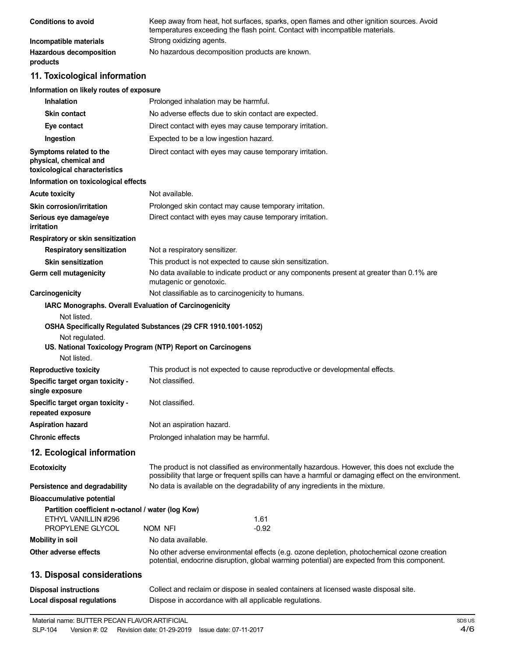| <b>Conditions to avoid</b>                 | Keep away from heat, hot surfaces, sparks, open flames and other ignition sources. Avoid<br>temperatures exceeding the flash point. Contact with incompatible materials. |
|--------------------------------------------|--------------------------------------------------------------------------------------------------------------------------------------------------------------------------|
| Incompatible materials                     | Strong oxidizing agents.                                                                                                                                                 |
| <b>Hazardous decomposition</b><br>products | No hazardous decomposition products are known.                                                                                                                           |

## **11. Toxicological information**

#### **Information on likely routes of exposure**

| <b>Inhalation</b>                                                                  | Prolonged inhalation may be harmful.                                                                                                                                                                  |
|------------------------------------------------------------------------------------|-------------------------------------------------------------------------------------------------------------------------------------------------------------------------------------------------------|
| <b>Skin contact</b>                                                                | No adverse effects due to skin contact are expected.                                                                                                                                                  |
| Eye contact                                                                        | Direct contact with eyes may cause temporary irritation.                                                                                                                                              |
| Ingestion                                                                          | Expected to be a low ingestion hazard.                                                                                                                                                                |
| Symptoms related to the<br>physical, chemical and<br>toxicological characteristics | Direct contact with eyes may cause temporary irritation.                                                                                                                                              |
| Information on toxicological effects                                               |                                                                                                                                                                                                       |
| <b>Acute toxicity</b>                                                              | Not available.                                                                                                                                                                                        |
| <b>Skin corrosion/irritation</b>                                                   | Prolonged skin contact may cause temporary irritation.                                                                                                                                                |
| Serious eye damage/eye<br>irritation                                               | Direct contact with eyes may cause temporary irritation.                                                                                                                                              |
| Respiratory or skin sensitization                                                  |                                                                                                                                                                                                       |
| <b>Respiratory sensitization</b>                                                   | Not a respiratory sensitizer.                                                                                                                                                                         |
| <b>Skin sensitization</b>                                                          | This product is not expected to cause skin sensitization.                                                                                                                                             |
| Germ cell mutagenicity                                                             | No data available to indicate product or any components present at greater than 0.1% are<br>mutagenic or genotoxic.                                                                                   |
| Carcinogenicity                                                                    | Not classifiable as to carcinogenicity to humans.                                                                                                                                                     |
| IARC Monographs. Overall Evaluation of Carcinogenicity                             |                                                                                                                                                                                                       |
| Not listed.<br>Not regulated.<br>Not listed.                                       | OSHA Specifically Regulated Substances (29 CFR 1910.1001-1052)<br>US. National Toxicology Program (NTP) Report on Carcinogens                                                                         |
| <b>Reproductive toxicity</b>                                                       | This product is not expected to cause reproductive or developmental effects.                                                                                                                          |
| Specific target organ toxicity -<br>single exposure                                | Not classified.                                                                                                                                                                                       |
| Specific target organ toxicity -<br>repeated exposure                              | Not classified.                                                                                                                                                                                       |
| <b>Aspiration hazard</b>                                                           | Not an aspiration hazard.                                                                                                                                                                             |
| <b>Chronic effects</b>                                                             | Prolonged inhalation may be harmful.                                                                                                                                                                  |
| 12. Ecological information                                                         |                                                                                                                                                                                                       |
| <b>Ecotoxicity</b>                                                                 | The product is not classified as environmentally hazardous. However, this does not exclude the<br>possibility that large or frequent spills can have a harmful or damaging effect on the environment. |
| Persistence and degradability                                                      | No data is available on the degradability of any ingredients in the mixture.                                                                                                                          |
| <b>Bioaccumulative potential</b>                                                   |                                                                                                                                                                                                       |
| Partition coefficient n-octanol / water (log Kow)<br>ETHYL VANILLIN #296           | 1.61                                                                                                                                                                                                  |
| PROPYLENE GLYCOL                                                                   | NOM NFI<br>$-0.92$<br>No data available.                                                                                                                                                              |
| <b>Mobility in soil</b><br>Other adverse effects                                   |                                                                                                                                                                                                       |
|                                                                                    | No other adverse environmental effects (e.g. ozone depletion, photochemical ozone creation<br>potential, endocrine disruption, global warming potential) are expected from this component.            |
| 13. Disposal considerations                                                        |                                                                                                                                                                                                       |
| <b>Disposal instructions</b>                                                       | Collect and reclaim or dispose in sealed containers at licensed waste disposal site.                                                                                                                  |
| <b>Local disposal regulations</b>                                                  | Dispose in accordance with all applicable regulations.                                                                                                                                                |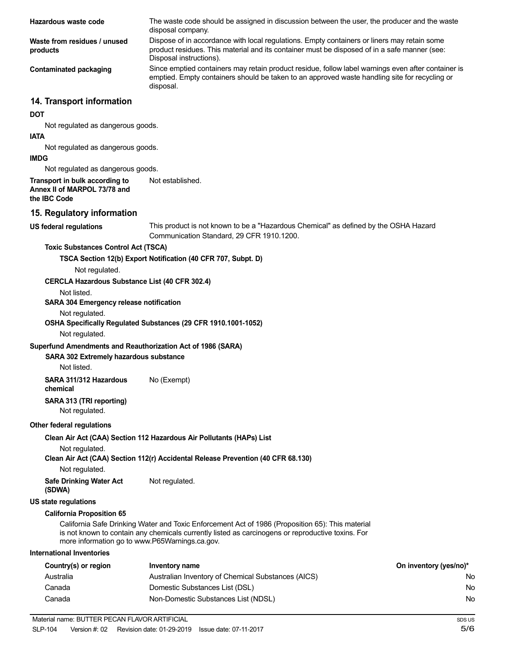| Hazardous waste code                                                           | The waste code should be assigned in discussion between the user, the producer and the waste<br>disposal company.                                                                                                      |                        |  |
|--------------------------------------------------------------------------------|------------------------------------------------------------------------------------------------------------------------------------------------------------------------------------------------------------------------|------------------------|--|
| Waste from residues / unused<br>products                                       | Dispose of in accordance with local regulations. Empty containers or liners may retain some<br>product residues. This material and its container must be disposed of in a safe manner (see:<br>Disposal instructions). |                        |  |
| <b>Contaminated packaging</b>                                                  | Since emptied containers may retain product residue, follow label warnings even after container is<br>emptied. Empty containers should be taken to an approved waste handling site for recycling or<br>disposal.       |                        |  |
| 14. Transport information                                                      |                                                                                                                                                                                                                        |                        |  |
| <b>DOT</b>                                                                     |                                                                                                                                                                                                                        |                        |  |
| Not regulated as dangerous goods.                                              |                                                                                                                                                                                                                        |                        |  |
| <b>IATA</b>                                                                    |                                                                                                                                                                                                                        |                        |  |
| Not regulated as dangerous goods.<br><b>IMDG</b>                               |                                                                                                                                                                                                                        |                        |  |
| Not regulated as dangerous goods.                                              |                                                                                                                                                                                                                        |                        |  |
| Transport in bulk according to<br>Annex II of MARPOL 73/78 and<br>the IBC Code | Not established.                                                                                                                                                                                                       |                        |  |
| 15. Regulatory information                                                     |                                                                                                                                                                                                                        |                        |  |
| <b>US federal regulations</b>                                                  | This product is not known to be a "Hazardous Chemical" as defined by the OSHA Hazard<br>Communication Standard, 29 CFR 1910.1200.                                                                                      |                        |  |
| <b>Toxic Substances Control Act (TSCA)</b>                                     |                                                                                                                                                                                                                        |                        |  |
|                                                                                | TSCA Section 12(b) Export Notification (40 CFR 707, Subpt. D)                                                                                                                                                          |                        |  |
| Not regulated.<br>CERCLA Hazardous Substance List (40 CFR 302.4)               |                                                                                                                                                                                                                        |                        |  |
| Not listed.                                                                    |                                                                                                                                                                                                                        |                        |  |
| SARA 304 Emergency release notification                                        |                                                                                                                                                                                                                        |                        |  |
| Not regulated.                                                                 |                                                                                                                                                                                                                        |                        |  |
| Not regulated.                                                                 | OSHA Specifically Regulated Substances (29 CFR 1910.1001-1052)                                                                                                                                                         |                        |  |
| Superfund Amendments and Reauthorization Act of 1986 (SARA)                    |                                                                                                                                                                                                                        |                        |  |
| SARA 302 Extremely hazardous substance                                         |                                                                                                                                                                                                                        |                        |  |
| Not listed.                                                                    |                                                                                                                                                                                                                        |                        |  |
| SARA 311/312 Hazardous<br>chemical                                             | No (Exempt)                                                                                                                                                                                                            |                        |  |
| SARA 313 (TRI reporting)<br>Not regulated.                                     |                                                                                                                                                                                                                        |                        |  |
| Other federal regulations                                                      |                                                                                                                                                                                                                        |                        |  |
|                                                                                | Clean Air Act (CAA) Section 112 Hazardous Air Pollutants (HAPs) List                                                                                                                                                   |                        |  |
| Not regulated.                                                                 | Clean Air Act (CAA) Section 112(r) Accidental Release Prevention (40 CFR 68.130)                                                                                                                                       |                        |  |
| Not regulated.<br><b>Safe Drinking Water Act</b>                               | Not regulated.                                                                                                                                                                                                         |                        |  |
| (SDWA)                                                                         |                                                                                                                                                                                                                        |                        |  |
| <b>US state regulations</b>                                                    |                                                                                                                                                                                                                        |                        |  |
| <b>California Proposition 65</b>                                               |                                                                                                                                                                                                                        |                        |  |
| more information go to www.P65Warnings.ca.gov.                                 | California Safe Drinking Water and Toxic Enforcement Act of 1986 (Proposition 65): This material<br>is not known to contain any chemicals currently listed as carcinogens or reproductive toxins. For                  |                        |  |
| <b>International Inventories</b>                                               |                                                                                                                                                                                                                        |                        |  |
| Country(s) or region                                                           | Inventory name                                                                                                                                                                                                         | On inventory (yes/no)* |  |
| Australia                                                                      | Australian Inventory of Chemical Substances (AICS)                                                                                                                                                                     | No.                    |  |
| Canada                                                                         | Domestic Substances List (DSL)                                                                                                                                                                                         | No.                    |  |
| Canada                                                                         | Non-Domestic Substances List (NDSL)                                                                                                                                                                                    | No                     |  |